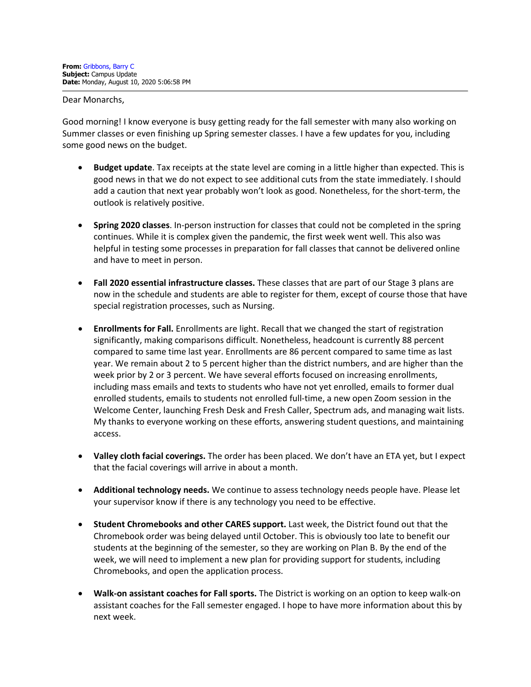Dear Monarchs,

Good morning! I know everyone is busy getting ready for the fall semester with many also working on Summer classes or even finishing up Spring semester classes. I have a few updates for you, including some good news on the budget.

- **Budget update**. Tax receipts at the state level are coming in a little higher than expected. This is good news in that we do not expect to see additional cuts from the state immediately. I should add a caution that next year probably won't look as good. Nonetheless, for the short-term, the outlook is relatively positive.
- **Spring 2020 classes**. In-person instruction for classes that could not be completed in the spring continues. While it is complex given the pandemic, the first week went well. This also was helpful in testing some processes in preparation for fall classes that cannot be delivered online and have to meet in person.
- **Fall 2020 essential infrastructure classes.** These classes that are part of our Stage 3 plans are now in the schedule and students are able to register for them, except of course those that have special registration processes, such as Nursing.
- **Enrollments for Fall.** Enrollments are light. Recall that we changed the start of registration significantly, making comparisons difficult. Nonetheless, headcount is currently 88 percent compared to same time last year. Enrollments are 86 percent compared to same time as last year. We remain about 2 to 5 percent higher than the district numbers, and are higher than the week prior by 2 or 3 percent. We have several efforts focused on increasing enrollments, including mass emails and texts to students who have not yet enrolled, emails to former dual enrolled students, emails to students not enrolled full-time, a new open Zoom session in the Welcome Center, launching Fresh Desk and Fresh Caller, Spectrum ads, and managing wait lists. My thanks to everyone working on these efforts, answering student questions, and maintaining access.
- **Valley cloth facial coverings.** The order has been placed. We don't have an ETA yet, but I expect that the facial coverings will arrive in about a month.
- **Additional technology needs.** We continue to assess technology needs people have. Please let your supervisor know if there is any technology you need to be effective.
- **Student Chromebooks and other CARES support.** Last week, the District found out that the Chromebook order was being delayed until October. This is obviously too late to benefit our students at the beginning of the semester, so they are working on Plan B. By the end of the week, we will need to implement a new plan for providing support for students, including Chromebooks, and open the application process.
- **Walk-on assistant coaches for Fall sports.** The District is working on an option to keep walk-on assistant coaches for the Fall semester engaged. I hope to have more information about this by next week.